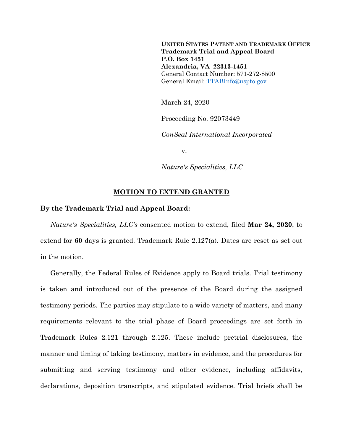**UNITED STATES PATENT AND TRADEMARK OFFICE Trademark Trial and Appeal Board P.O. Box 1451 Alexandria, VA 22313-1451** General Contact Number: 571-272-8500 General Email: [TTABInfo@uspto.gov](mailto:TTABInfo@uspto.gov)

March 24, 2020

Proceeding No. 92073449

*ConSeal International Incorporated*

v.

*Nature's Specialities, LLC*

## **MOTION TO EXTEND GRANTED**

## **By the Trademark Trial and Appeal Board:**

*Nature's Specialities, LLC's* consented motion to extend, filed **Mar 24, 2020**, to extend for **60** days is granted. Trademark Rule 2.127(a). Dates are reset as set out in the motion.

Generally, the Federal Rules of Evidence apply to Board trials. Trial testimony is taken and introduced out of the presence of the Board during the assigned testimony periods. The parties may stipulate to a wide variety of matters, and many requirements relevant to the trial phase of Board proceedings are set forth in Trademark Rules 2.121 through 2.125. These include pretrial disclosures, the manner and timing of taking testimony, matters in evidence, and the procedures for submitting and serving testimony and other evidence, including affidavits, declarations, deposition transcripts, and stipulated evidence. Trial briefs shall be